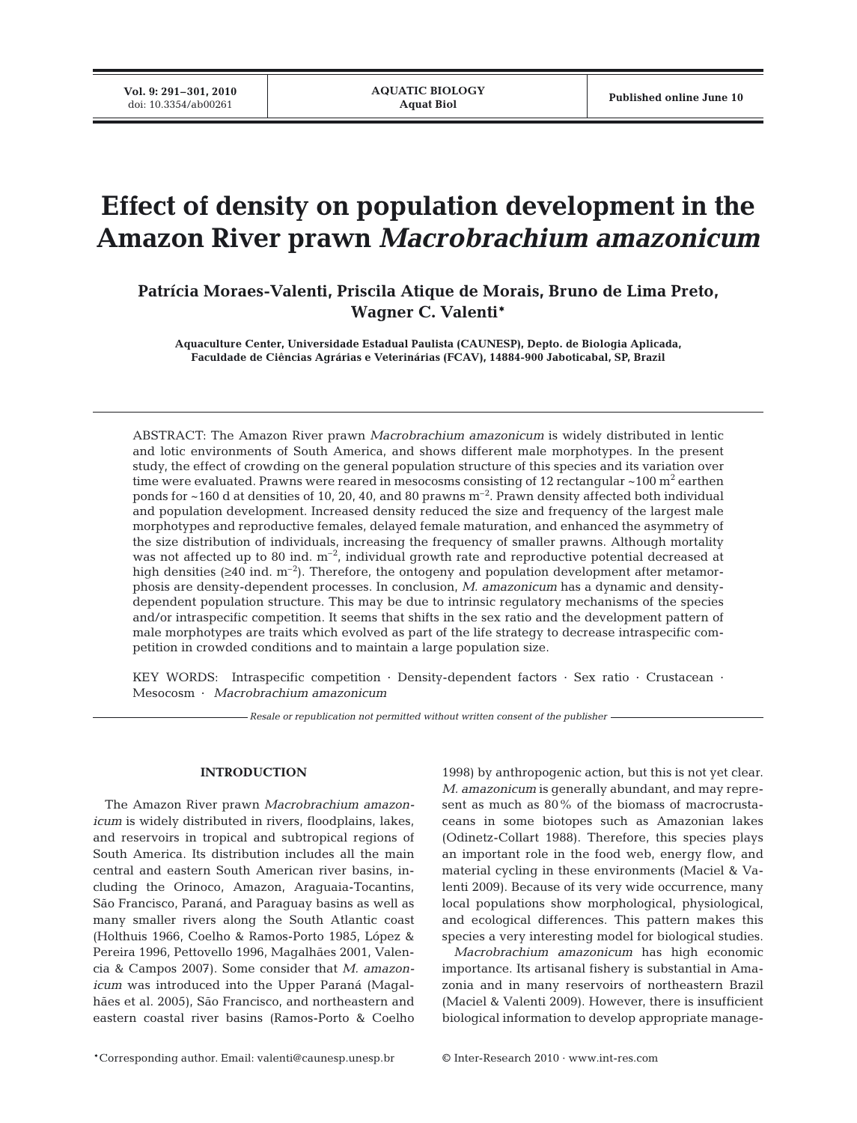# **Effect of density on population development in the Amazon River prawn** *Macrobrachium amazonicum*

**Patrícia Moraes-Valenti, Priscila Atique de Morais, Bruno de Lima Preto, Wagner C. Valenti\***

**Aquaculture Center, Universidade Estadual Paulista (CAUNESP), Depto. de Biologia Aplicada, Faculdade de Ciências Agrárias e Veterinárias (FCAV), 14884-900 Jaboticabal, SP, Brazil**

ABSTRACT: The Amazon River prawn *Macrobrachium amazonicum* is widely distributed in lentic and lotic environments of South America, and shows different male morphotypes. In the present study, the effect of crowding on the general population structure of this species and its variation over time were evaluated. Prawns were reared in mesocosms consisting of 12 rectangular  $\sim$ 100 m<sup>2</sup> earthen ponds for  $\sim$ 160 d at densities of 10, 20, 40, and 80 prawns  $m^{-2}$ . Prawn density affected both individual and population development. Increased density reduced the size and frequency of the largest male morphotypes and reproductive females, delayed female maturation, and enhanced the asymmetry of the size distribution of individuals, increasing the frequency of smaller prawns. Although mortality was not affected up to 80 ind.  $m^{-2}$ , individual growth rate and reproductive potential decreased at high densities ( $\geq 40$  ind. m<sup>-2</sup>). Therefore, the ontogeny and population development after metamorphosis are density-dependent processes. In conclusion, *M. amazonicum* has a dynamic and densitydependent population structure. This may be due to intrinsic regulatory mechanisms of the species and/or intraspecific competition. It seems that shifts in the sex ratio and the development pattern of male morphotypes are traits which evolved as part of the life strategy to decrease intraspecific competition in crowded conditions and to maintain a large population size.

KEY WORDS: Intraspecific competition · Density-dependent factors · Sex ratio · Crustacean · Mesocosm · *Macrobrachium amazonicum*

*Resale or republication not permitted without written consent of the publisher*

# **INTRODUCTION**

The Amazon River prawn *Macrobrachium amazonicum* is widely distributed in rivers, floodplains, lakes, and reservoirs in tropical and subtropical regions of South America. Its distribution includes all the main central and eastern South American river basins, including the Orinoco, Amazon, Araguaia-Tocantins, São Francisco, Paraná, and Paraguay basins as well as many smaller rivers along the South Atlantic coast (Holthuis 1966, Coelho & Ramos-Porto 1985, López & Pereira 1996, Pettovello 1996, Magalhães 2001, Valencia & Campos 2007). Some consider that *M. amazonicum* was introduced into the Upper Paraná (Magalhães et al. 2005), São Francisco, and northeastern and eastern coastal river basins (Ramos-Porto & Coelho

1998) by anthropogenic action, but this is not yet clear. *M. amazonicum* is generally abundant, and may represent as much as 80% of the biomass of macrocrustaceans in some biotopes such as Amazonian lakes (Odinetz-Collart 1988). Therefore, this species plays an important role in the food web, energy flow, and material cycling in these environments (Maciel & Valenti 2009). Because of its very wide occurrence, many local populations show morphological, physiological, and ecological differences. This pattern makes this species a very interesting model for biological studies.

*Macrobrachium amazonicum* has high economic importance. Its artisanal fishery is substantial in Amazonia and in many reservoirs of northeastern Brazil (Maciel & Valenti 2009). However, there is insufficient biological information to develop appropriate manage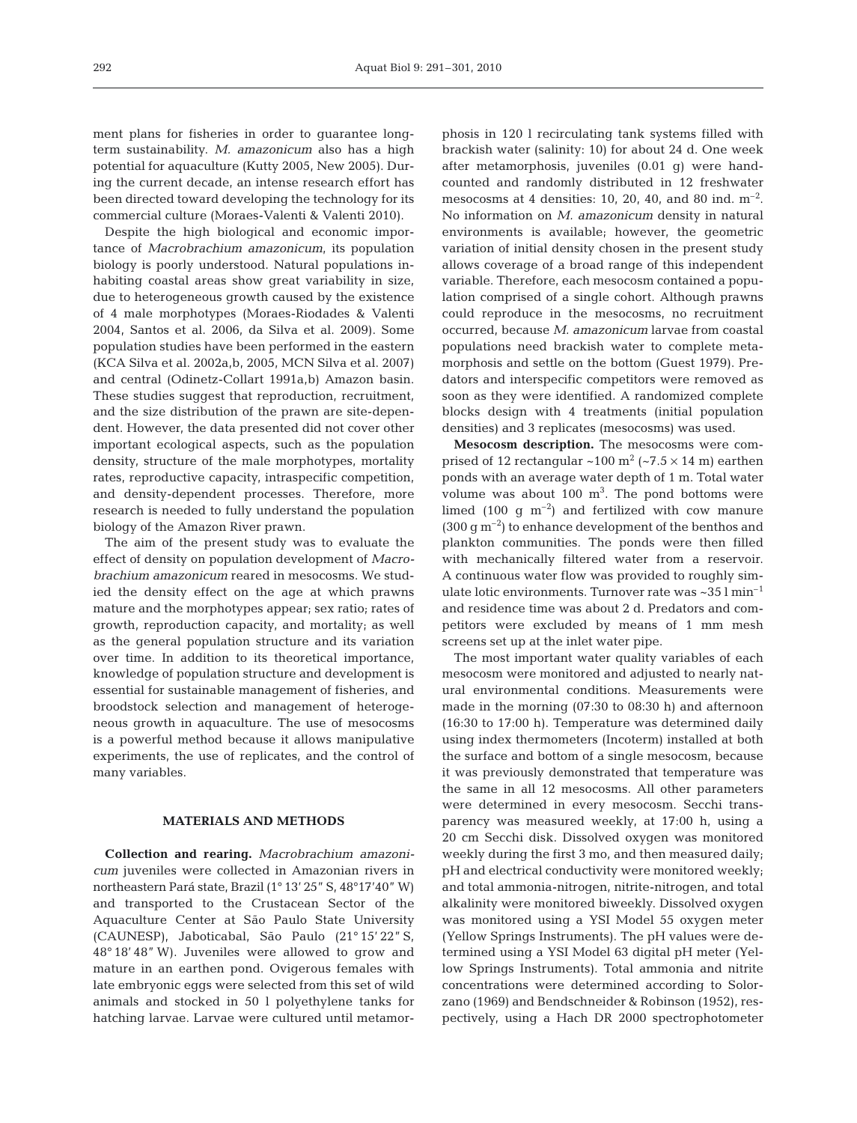ment plans for fisheries in order to guarantee longterm sustainability. *M. amazonicum* also has a high potential for aquaculture (Kutty 2005, New 2005). During the current decade, an intense research effort has been directed toward developing the technology for its commercial culture (Moraes-Valenti & Valenti 2010).

Despite the high biological and economic importance of *Macrobrachium amazonicum*, its population biology is poorly understood. Natural populations inhabiting coastal areas show great variability in size, due to heterogeneous growth caused by the existence of 4 male morphotypes (Moraes-Riodades & Valenti 2004, Santos et al. 2006, da Silva et al. 2009). Some population studies have been performed in the eastern (KCA Silva et al. 2002a,b, 2005, MCN Silva et al. 2007) and central (Odinetz-Collart 1991a,b) Amazon basin. These studies suggest that reproduction, recruitment, and the size distribution of the prawn are site-dependent. However, the data presented did not cover other important ecological aspects, such as the population density, structure of the male morphotypes, mortality rates, reproductive capacity, intraspecific competition, and density-dependent processes. Therefore, more research is needed to fully understand the population biology of the Amazon River prawn.

The aim of the present study was to evaluate the effect of density on population development of *Macrobrachium amazonicum* reared in mesocosms. We studied the density effect on the age at which prawns mature and the morphotypes appear; sex ratio; rates of growth, reproduction capacity, and mortality; as well as the general population structure and its variation over time. In addition to its theoretical importance, knowledge of population structure and development is essential for sustainable management of fisheries, and broodstock selection and management of heterogeneous growth in aquaculture. The use of mesocosms is a powerful method because it allows manipulative experiments, the use of replicates, and the control of many variables.

#### **MATERIALS AND METHODS**

**Collection and rearing.** *Macrobrachium amazonicum* juveniles were collected in Amazonian rivers in northeastern Pará state, Brazil (1° 13' 25" S, 48°17'40" W) and transported to the Crustacean Sector of the Aquaculture Center at São Paulo State University (CAUNESP), Jaboticabal, São Paulo (21° 15' 22" S, 48° 18' 48" W). Juveniles were allowed to grow and mature in an earthen pond. Ovigerous females with late embryonic eggs were selected from this set of wild animals and stocked in 50 l polyethylene tanks for hatching larvae. Larvae were cultured until metamorphosis in 120 l recirculating tank systems filled with brackish water (salinity: 10) for about 24 d. One week after metamorphosis, juveniles (0.01 g) were handcounted and randomly distributed in 12 freshwater mesocosms at 4 densities: 10, 20, 40, and 80 ind.  $m^{-2}$ . No information on *M. amazonicum* density in natural environments is available; however, the geometric variation of initial density chosen in the present study allows coverage of a broad range of this independent variable. Therefore, each mesocosm contained a population comprised of a single cohort. Although prawns could reproduce in the mesocosms, no recruitment occurred, because *M. amazonicum* larvae from coastal populations need brackish water to complete metamorphosis and settle on the bottom (Guest 1979). Predators and interspecific competitors were removed as soon as they were identified. A randomized complete blocks design with 4 treatments (initial population densities) and 3 replicates (mesocosms) was used.

**Mesocosm description.** The mesocosms were comprised of 12 rectangular  $\sim$ 100 m<sup>2</sup> ( $\sim$ 7.5  $\times$  14 m) earthen ponds with an average water depth of 1 m. Total water volume was about  $100 \text{ m}^3$ . The pond bottoms were limed (100 g  $m^{-2}$ ) and fertilized with cow manure  $(300 \text{ g m}^{-2})$  to enhance development of the benthos and plankton communities. The ponds were then filled with mechanically filtered water from a reservoir. A continuous water flow was provided to roughly simulate lotic environments. Turnover rate was ~35 l min–1 and residence time was about 2 d. Predators and competitors were excluded by means of 1 mm mesh screens set up at the inlet water pipe.

The most important water quality variables of each mesocosm were monitored and adjusted to nearly natural environmental conditions. Measurements were made in the morning (07:30 to 08:30 h) and afternoon (16:30 to 17:00 h). Temperature was determined daily using index thermometers (Incoterm) installed at both the surface and bottom of a single mesocosm, because it was previously demonstrated that temperature was the same in all 12 mesocosms. All other parameters were determined in every mesocosm. Secchi transparency was measured weekly, at 17:00 h, using a 20 cm Secchi disk. Dissolved oxygen was monitored weekly during the first 3 mo, and then measured daily; pH and electrical conductivity were monitored weekly; and total ammonia-nitrogen, nitrite-nitrogen, and total alkalinity were monitored biweekly. Dissolved oxygen was monitored using a YSI Model 55 oxygen meter (Yellow Springs Instruments). The pH values were determined using a YSI Model 63 digital pH meter (Yellow Springs Instruments). Total ammonia and nitrite concentrations were determined according to Solorzano (1969) and Bendschneider & Robinson (1952), respectively, using a Hach DR 2000 spectrophotometer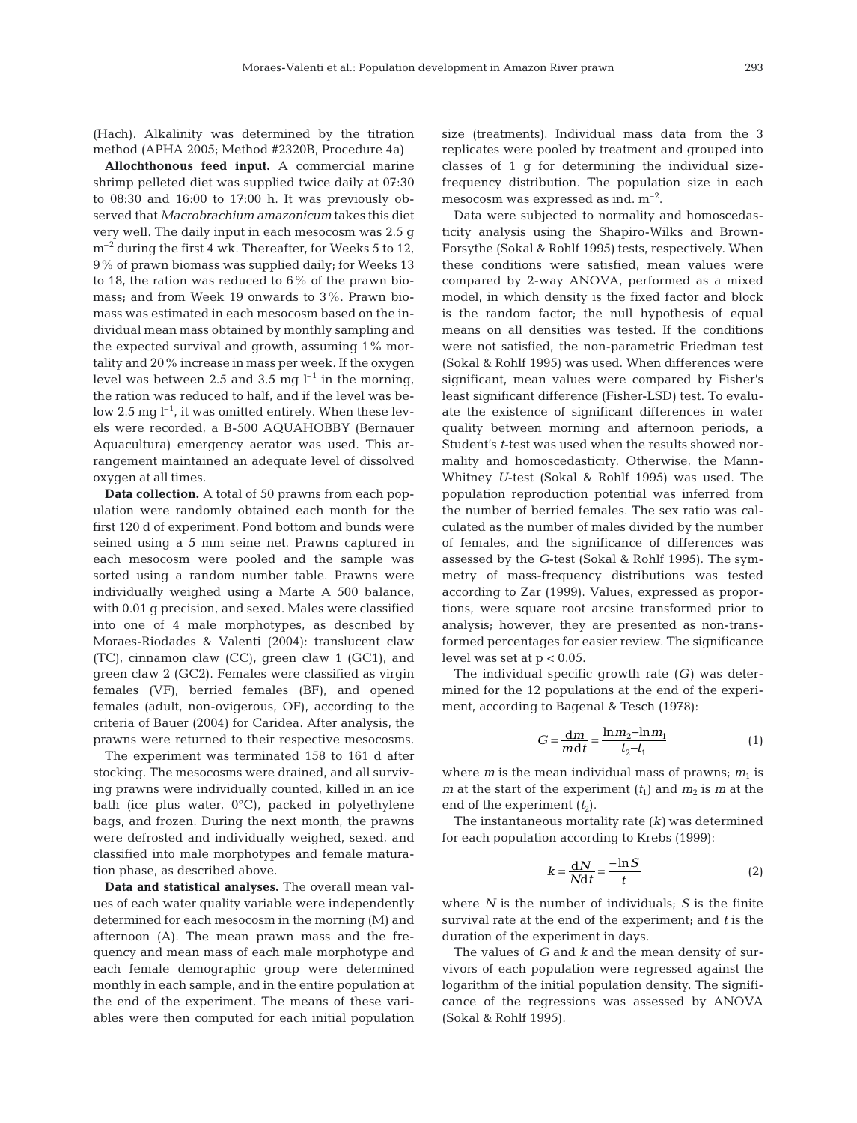(Hach). Alkalinity was determined by the titration method (APHA 2005; Method #2320B, Procedure 4a)

**Allochthonous feed input.** A commercial marine shrimp pelleted diet was supplied twice daily at 07:30 to 08:30 and 16:00 to 17:00 h. It was previously observed that *Macrobrachium amazonicum* takes this diet very well. The daily input in each mesocosm was 2.5 g  $m^{-2}$  during the first 4 wk. Thereafter, for Weeks 5 to 12, 9% of prawn biomass was supplied daily; for Weeks 13 to 18, the ration was reduced to 6% of the prawn biomass; and from Week 19 onwards to 3%. Prawn biomass was estimated in each mesocosm based on the individual mean mass obtained by monthly sampling and the expected survival and growth, assuming 1% mortality and 20% increase in mass per week. If the oxygen level was between 2.5 and 3.5 mg  $l^{-1}$  in the morning, the ration was reduced to half, and if the level was below 2.5 mg  $l^{-1}$ , it was omitted entirely. When these levels were recorded, a B-500 AQUAHOBBY (Bernauer Aquacultura) emergency aerator was used. This arrangement maintained an adequate level of dissolved oxygen at all times.

**Data collection.** A total of 50 prawns from each population were randomly obtained each month for the first 120 d of experiment. Pond bottom and bunds were seined using a 5 mm seine net. Prawns captured in each mesocosm were pooled and the sample was sorted using a random number table. Prawns were individually weighed using a Marte A 500 balance, with 0.01 g precision, and sexed. Males were classified into one of 4 male morphotypes, as described by Moraes-Riodades & Valenti (2004): translucent claw (TC), cinnamon claw (CC), green claw 1 (GC1), and green claw 2 (GC2). Females were classified as virgin females (VF), berried females (BF), and opened females (adult, non-ovigerous, OF), according to the criteria of Bauer (2004) for Caridea. After analysis, the prawns were returned to their respective mesocosms.

The experiment was terminated 158 to 161 d after stocking. The mesocosms were drained, and all surviving prawns were individually counted, killed in an ice bath (ice plus water, 0°C), packed in polyethylene bags, and frozen. During the next month, the prawns were defrosted and individually weighed, sexed, and classified into male morphotypes and female maturation phase, as described above.

**Data and statistical analyses.** The overall mean values of each water quality variable were independently determined for each mesocosm in the morning (M) and afternoon (A). The mean prawn mass and the frequency and mean mass of each male morphotype and each female demographic group were determined monthly in each sample, and in the entire population at the end of the experiment. The means of these variables were then computed for each initial population

size (treatments). Individual mass data from the 3 replicates were pooled by treatment and grouped into classes of 1 g for determining the individual sizefrequency distribution. The population size in each mesocosm was expressed as ind.  $m^{-2}$ .

Data were subjected to normality and homoscedasticity analysis using the Shapiro-Wilks and Brown-Forsythe (Sokal & Rohlf 1995) tests, respectively. When these conditions were satisfied, mean values were compared by 2-way ANOVA, performed as a mixed model, in which density is the fixed factor and block is the random factor; the null hypothesis of equal means on all densities was tested. If the conditions were not satisfied, the non-parametric Friedman test (Sokal & Rohlf 1995) was used. When differences were significant, mean values were compared by Fisher's least significant difference (Fisher-LSD) test. To evaluate the existence of significant differences in water quality between morning and afternoon periods, a Student's *t*-test was used when the results showed normality and homoscedasticity. Otherwise, the Mann-Whitney *U*-test (Sokal & Rohlf 1995) was used. The population reproduction potential was inferred from the number of berried females. The sex ratio was calculated as the number of males divided by the number of females, and the significance of differences was assessed by the *G*-test (Sokal & Rohlf 1995). The symmetry of mass-frequency distributions was tested according to Zar (1999). Values, expressed as proportions, were square root arcsine transformed prior to analysis; however, they are presented as non-transformed percentages for easier review. The significance level was set at  $p < 0.05$ .

The individual specific growth rate (*G)* was determined for the 12 populations at the end of the experiment, according to Bagenal & Tesch (1978):

$$
G = \frac{\mathrm{d}m}{m\mathrm{d}t} = \frac{\ln m_2 - \ln m_1}{t_2 - t_1} \tag{1}
$$

where  $m$  is the mean individual mass of prawns;  $m_1$  is *m* at the start of the experiment  $(t_1)$  and  $m_2$  is *m* at the end of the experiment  $(t_2)$ .

The instantaneous mortality rate (*k)* was determined for each population according to Krebs (1999):

$$
k = \frac{dN}{Ndt} = \frac{-\ln S}{t}
$$
 (2)

where *N* is the number of individuals; *S* is the finite survival rate at the end of the experiment; and *t* is the duration of the experiment in days.

The values of *G* and *k* and the mean density of survivors of each population were regressed against the logarithm of the initial population density. The significance of the regressions was assessed by ANOVA (Sokal & Rohlf 1995).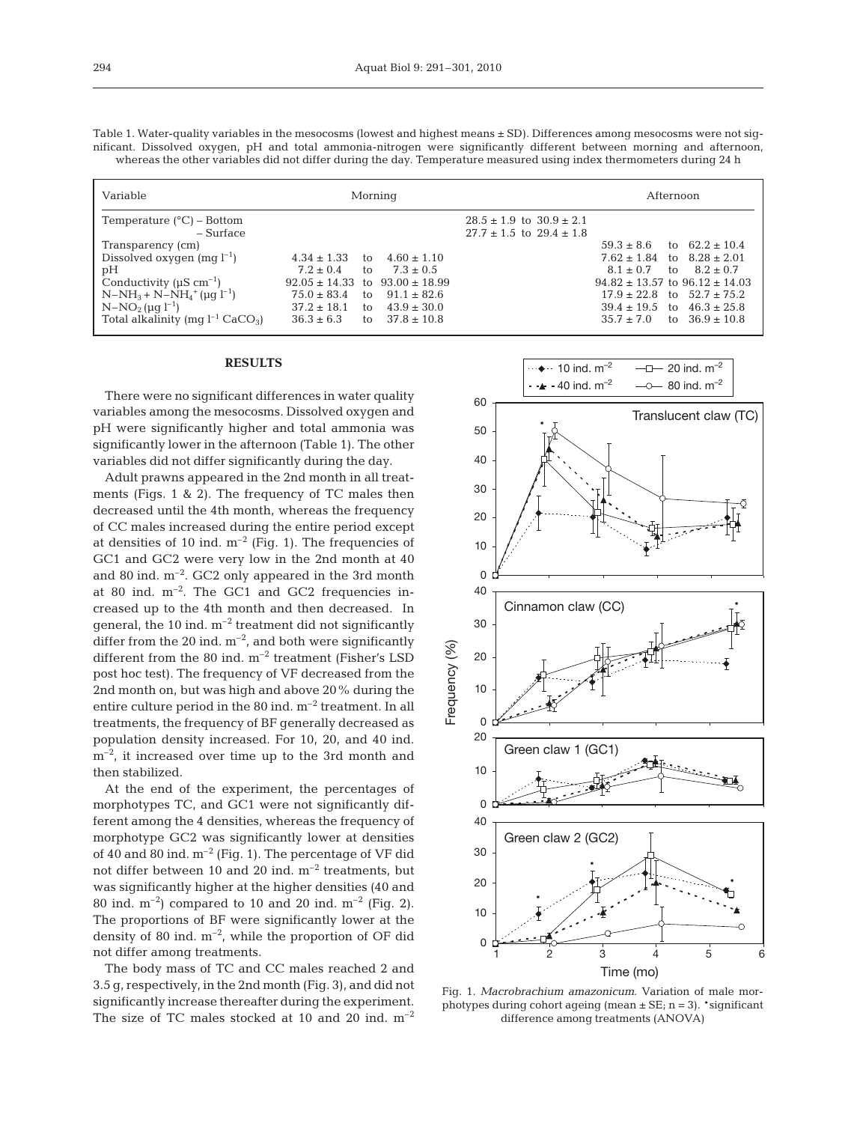|  |  | Table 1. Water-quality variables in the mesocosms (lowest and highest means ± SD). Differences among mesocosms were not sig- |  |  |  |  |
|--|--|------------------------------------------------------------------------------------------------------------------------------|--|--|--|--|
|  |  | nificant. Dissolved oxygen, pH and total ammonia-nitrogen were significantly different between morning and afternoon,        |  |  |  |  |
|  |  | whereas the other variables did not differ during the day. Temperature measured using index thermometers during 24 h         |  |  |  |  |

| Variable                                                                                                                                                                                                                     | Morning                                                                                                                                                                                                                                           |                                                                      | Afternoon                                                                                                                                                                                                                                                                     |  |  |  |
|------------------------------------------------------------------------------------------------------------------------------------------------------------------------------------------------------------------------------|---------------------------------------------------------------------------------------------------------------------------------------------------------------------------------------------------------------------------------------------------|----------------------------------------------------------------------|-------------------------------------------------------------------------------------------------------------------------------------------------------------------------------------------------------------------------------------------------------------------------------|--|--|--|
| Temperature $(^{\circ}C)$ – Bottom<br>– Surface                                                                                                                                                                              |                                                                                                                                                                                                                                                   | $28.5 \pm 1.9$ to $30.9 \pm 2.1$<br>$27.7 \pm 1.5$ to $29.4 \pm 1.8$ |                                                                                                                                                                                                                                                                               |  |  |  |
| Transparency (cm)<br>Dissolved oxygen $(mq l^{-1})$<br>pН<br>Conductivity ( $\mu$ S cm <sup>-1</sup> )<br>$N-NH_3 + N-NH_4^+ (\mu q l^{-1})$<br>$N-NO_2$ (ug $l^{-1}$ )<br>Total alkalinity (mq $l^{-1}$ CaCO <sub>3</sub> ) | $4.60 \pm 1.10$<br>$4.34 \pm 1.33$<br>to<br>$7.2 \pm 0.4$<br>to $7.3 \pm 0.5$<br>$92.05 \pm 14.33$ to $93.00 \pm 18.99$<br>$75.0 \pm 83.4$<br>to $91.1 \pm 82.6$<br>to $43.9 \pm 30.0$<br>$37.2 \pm 18.1$<br>to $37.8 \pm 10.8$<br>$36.3 \pm 6.3$ |                                                                      | to $62.2 \pm 10.4$<br>$59.3 \pm 8.6$<br>$7.62 \pm 1.84$ to $8.28 \pm 2.01$<br>$8.1 \pm 0.7$<br>to $8.2 \pm 0.7$<br>$94.82 \pm 13.57$ to $96.12 \pm 14.03$<br>$17.9 \pm 22.8$ to $52.7 \pm 75.2$<br>$39.4 \pm 19.5$ to $46.3 \pm 25.8$<br>to $36.9 \pm 10.8$<br>$35.7 \pm 7.0$ |  |  |  |

#### **RESULTS**

There were no significant differences in water quality variables among the mesocosms. Dissolved oxygen and pH were significantly higher and total ammonia was significantly lower in the afternoon (Table 1). The other variables did not differ significantly during the day.

Adult prawns appeared in the 2nd month in all treatments (Figs. 1 & 2). The frequency of TC males then decreased until the 4th month, whereas the frequency of CC males increased during the entire period except at densities of 10 ind.  $m^{-2}$  (Fig. 1). The frequencies of GC1 and GC2 were very low in the 2nd month at 40 and 80 ind.  $m^{-2}$ . GC2 only appeared in the 3rd month at 80 ind.  $m^{-2}$ . The GC1 and GC2 frequencies increased up to the 4th month and then decreased. In general, the  $10$  ind.  $m^{-2}$  treatment did not significantly differ from the 20 ind.  $m^{-2}$ , and both were significantly different from the 80 ind.  $m^{-2}$  treatment (Fisher's LSD post hoc test). The frequency of VF decreased from the 2nd month on, but was high and above 20% during the entire culture period in the 80 ind. m–2 treatment. In all treatments, the frequency of BF generally decreased as population density increased. For 10, 20, and 40 ind.  $m^{-2}$ , it increased over time up to the 3rd month and then stabilized.

At the end of the experiment, the percentages of morphotypes TC, and GC1 were not significantly different among the 4 densities, whereas the frequency of morphotype GC2 was significantly lower at densities of 40 and 80 ind.  $m^{-2}$  (Fig. 1). The percentage of VF did not differ between 10 and 20 ind. m–2 treatments, but was significantly higher at the higher densities (40 and 80 ind.  $m^{-2}$ ) compared to 10 and 20 ind.  $m^{-2}$  (Fig. 2). The proportions of BF were significantly lower at the density of 80 ind.  $m^{-2}$ , while the proportion of OF did not differ among treatments.

The body mass of TC and CC males reached 2 and 3.5 g, respectively, in the 2nd month (Fig. 3), and did not significantly increase thereafter during the experiment. The size of TC males stocked at 10 and 20 ind.  $m^{-2}$ 



Fig. 1. *Macrobrachium amazonicum*. Variation of male morphotypes during cohort ageing (mean  $\pm$  SE; n = 3). \*significant difference among treatments (ANOVA)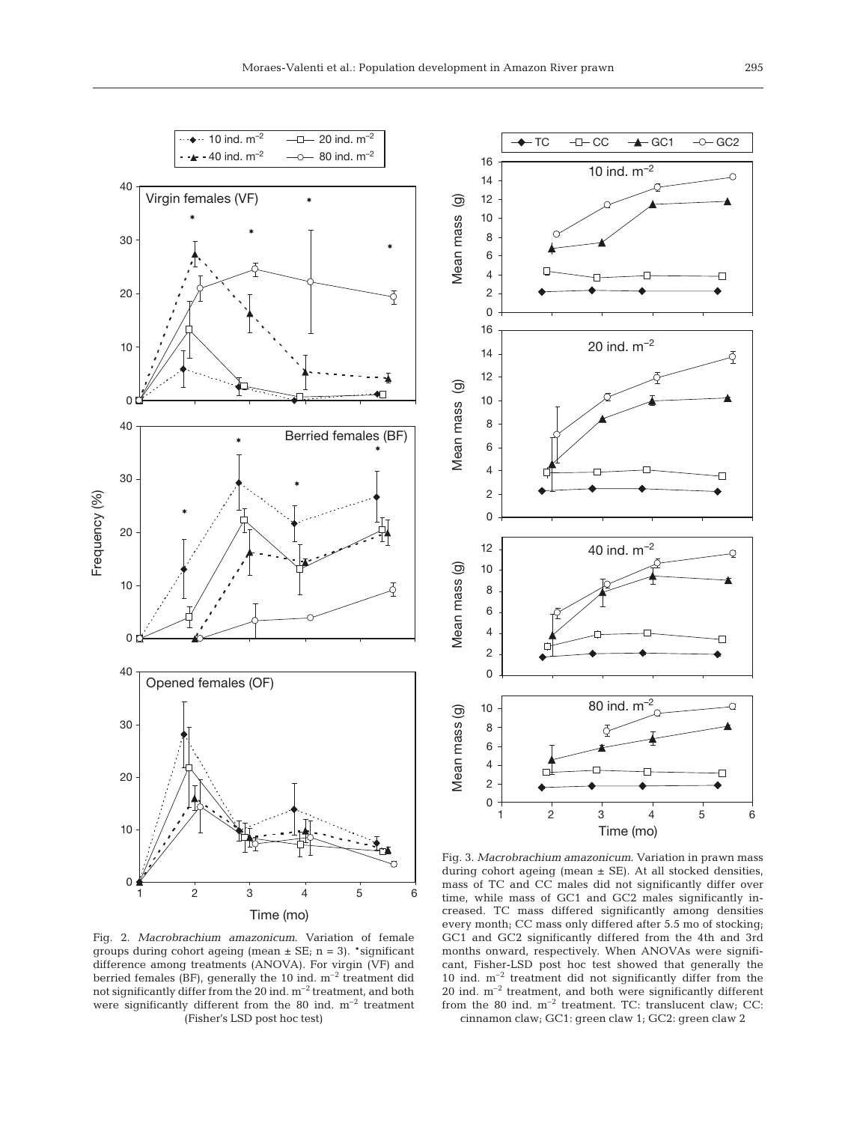

 $\rightarrow$  TC  $-I-CC$   $\rightarrow$  GC1  $\rightarrow$  GC2 16 10 ind.  $m^{-2}$ 14 12  $\circledcirc$ Mean mass (g) **Mean mass** 10 8 6 4 2 0 16 20 ind.  $m^{-2}$ 14 12  $\widehat{\mathcal{Q}}$ Mean mass (g) 10 **Mean mass** 8 6 4 2 0 12 40 ind.  $m^{-2}$ ම Mean mass (g) 10 Mean mass 8 6 4 2 0 80 ind. m<sup>2</sup> 10 Mean mass (g) Mean mass (g) 8 6 4 2 0 123456 Time (mo)

Fig. 2. *Macrobrachium amazonicum*. Variation of female groups during cohort ageing (mean  $\pm$  SE; n = 3). \*significant difference among treatments (ANOVA). For virgin (VF) and berried females (BF), generally the 10 ind.  $m^{-2}$  treatment did not significantly differ from the 20 ind. m–2 treatment, and both were significantly different from the 80 ind.  $m^{-2}$  treatment (Fisher's LSD post hoc test)

Fig. 3. *Macrobrachium amazonicum*. Variation in prawn mass during cohort ageing (mean ± SE). At all stocked densities, mass of TC and CC males did not significantly differ over time, while mass of GC1 and GC2 males significantly increased. TC mass differed significantly among densities every month; CC mass only differed after 5.5 mo of stocking; GC1 and GC2 significantly differed from the 4th and 3rd months onward, respectively. When ANOVAs were significant, Fisher-LSD post hoc test showed that generally the 10 ind. m–2 treatment did not significantly differ from the 20 ind. m–2 treatment, and both were significantly different from the 80 ind.  $m^{-2}$  treatment. TC: translucent claw; CC: cinnamon claw; GC1: green claw 1; GC2: green claw 2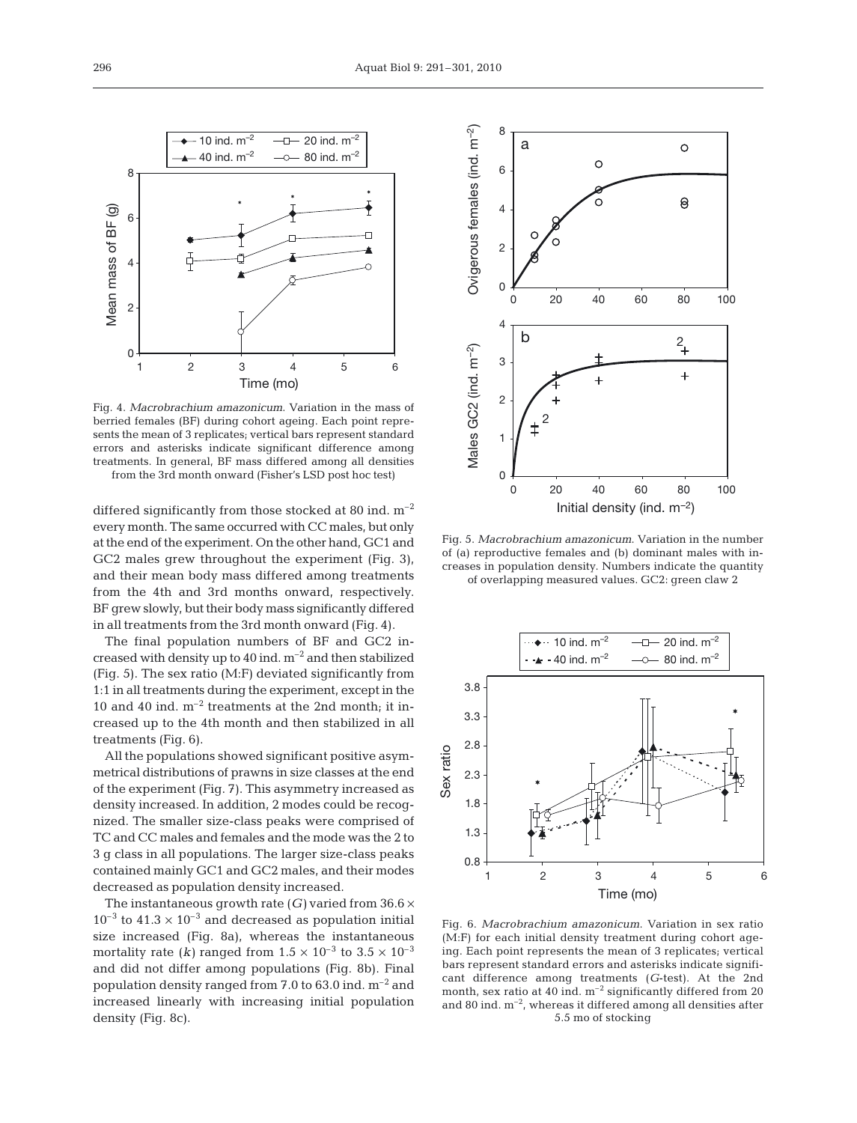

Fig. 4. *Macrobrachium amazonicum*. Variation in the mass of berried females (BF) during cohort ageing. Each point represents the mean of 3 replicates; vertical bars represent standard errors and asterisks indicate significant difference among treatments. In general, BF mass differed among all densities

from the 3rd month onward (Fisher's LSD post hoc test)

differed significantly from those stocked at 80 ind.  $m^{-2}$ every month. The same occurred with CC males, but only at the end of the experiment. On the other hand, GC1 and GC2 males grew throughout the experiment (Fig. 3), and their mean body mass differed among treatments from the 4th and 3rd months onward, respectively. BF grew slowly, but their body mass significantly differed in all treatments from the 3rd month onward (Fig. 4).

The final population numbers of BF and GC2 increased with density up to  $40$  ind.  $m^{-2}$  and then stabilized (Fig. 5). The sex ratio (M:F) deviated significantly from 1:1 in all treatments during the experiment, except in the 10 and 40 ind.  $m^{-2}$  treatments at the 2nd month; it increased up to the 4th month and then stabilized in all treatments (Fig. 6).

All the populations showed significant positive asymmetrical distributions of prawns in size classes at the end of the experiment (Fig. 7). This asymmetry increased as density increased. In addition, 2 modes could be recognized. The smaller size-class peaks were comprised of TC and CC males and females and the mode was the 2 to 3 g class in all populations. The larger size-class peaks contained mainly GC1 and GC2 males, and their modes decreased as population density increased.

The instantaneous growth rate  $(G)$  varied from  $36.6 \times$  $10^{-3}$  to  $41.3 \times 10^{-3}$  and decreased as population initial size increased (Fig. 8a), whereas the instantaneous mortality rate (*k*) ranged from  $1.5 \times 10^{-3}$  to  $3.5 \times 10^{-3}$ and did not differ among populations (Fig. 8b). Final population density ranged from 7.0 to 63.0 ind.  $m^{-2}$  and increased linearly with increasing initial population density (Fig. 8c).



Fig. 5. *Macrobrachium amazonicum*. Variation in the number of (a) reproductive females and (b) dominant males with increases in population density. Numbers indicate the quantity of overlapping measured values. GC2: green claw 2



Fig. 6. *Macrobrachium amazonicum*. Variation in sex ratio (M:F) for each initial density treatment during cohort ageing. Each point represents the mean of 3 replicates; vertical bars represent standard errors and asterisks indicate significant difference among treatments (*G*-test). At the 2nd month, sex ratio at 40 ind.  $m^{-2}$  significantly differed from 20 and 80 ind.  $m^{-2}$ , whereas it differed among all densities after 5.5 mo of stocking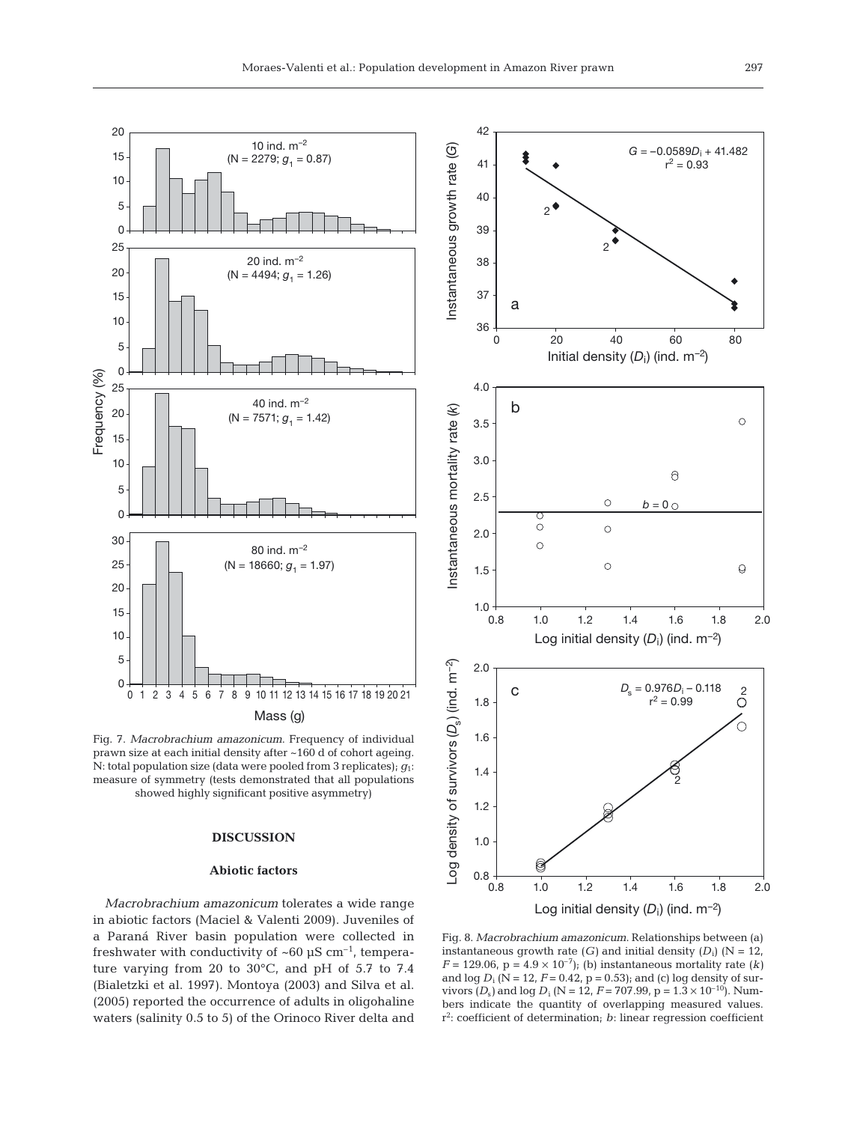

Fig. 7. *Macrobrachium amazonicum*. Frequency of individual prawn size at each initial density after ~160 d of cohort ageing. N: total population size (data were pooled from 3 replicates); *g*1: measure of symmetry (tests demonstrated that all populations showed highly significant positive asymmetry)

# **DISCUSSION**

### **Abiotic factors**

*Macrobrachium amazonicum* tolerates a wide range in abiotic factors (Maciel & Valenti 2009). Juveniles of a Paraná River basin population were collected in freshwater with conductivity of  $~60~\mu$ S cm<sup>-1</sup>, temperature varying from 20 to 30°C, and pH of 5.7 to 7.4 (Bialetzki et al. 1997). Montoya (2003) and Silva et al. (2005) reported the occurrence of adults in oligohaline waters (salinity 0.5 to 5) of the Orinoco River delta and



Fig. 8. *Macrobrachium amazonicum*. Relationships between (a) instantaneous growth rate  $(G)$  and initial density  $(D_i)$  (N = 12, *F* = 129.06,  $p = 4.9 \times 10^{-7}$ ; (b) instantaneous mortality rate (*k*) and  $\log D_i$  (N = 12, *F* = 0.42, p = 0.53); and (c)  $\log$  density of survivors  $(D_s)$  and  $\log D_i$  (N = 12, F = 707.99, p = 1.3  $\times$  10<sup>-10</sup>). Numbers indicate the quantity of overlapping measured values. r 2 : coefficient of determination; *b*: linear regression coefficient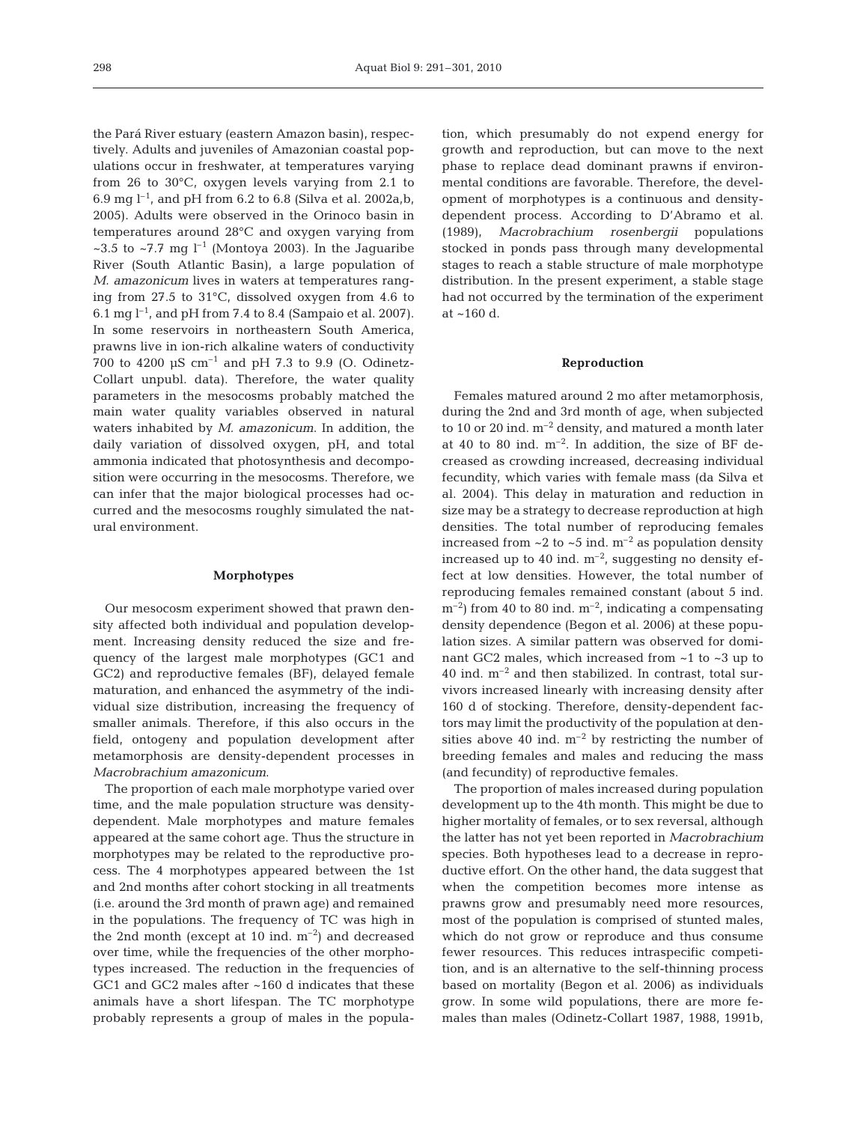the Pará River estuary (eastern Amazon basin), respectively. Adults and juveniles of Amazonian coastal populations occur in freshwater, at temperatures varying from 26 to 30°C, oxygen levels varying from 2.1 to 6.9 mg  $l^{-1}$ , and pH from 6.2 to 6.8 (Silva et al. 2002a,b, 2005). Adults were observed in the Orinoco basin in temperatures around 28°C and oxygen varying from ~3.5 to ~7.7 mg  $l^{-1}$  (Montoya 2003). In the Jaguaribe River (South Atlantic Basin), a large population of *M. amazonicum* lives in waters at temperatures ranging from 27.5 to 31°C, dissolved oxygen from 4.6 to 6.1 mg  $l^{-1}$ , and pH from 7.4 to 8.4 (Sampaio et al. 2007). In some reservoirs in northeastern South America, prawns live in ion-rich alkaline waters of conductivity 700 to 4200  $\mu$ S cm<sup>-1</sup> and pH 7.3 to 9.9 (O. Odinetz-Collart unpubl. data). Therefore, the water quality parameters in the mesocosms probably matched the main water quality variables observed in natural waters inhabited by *M. amazonicum*. In addition, the daily variation of dissolved oxygen, pH, and total ammonia indicated that photosynthesis and decomposition were occurring in the mesocosms. Therefore, we can infer that the major biological processes had occurred and the mesocosms roughly simulated the natural environment.

#### **Morphotypes**

Our mesocosm experiment showed that prawn density affected both individual and population development*.* Increasing density reduced the size and frequency of the largest male morphotypes (GC1 and GC2) and reproductive females (BF), delayed female maturation, and enhanced the asymmetry of the individual size distribution, increasing the frequency of smaller animals. Therefore, if this also occurs in the field, ontogeny and population development after metamorphosis are density-dependent processes in *Macrobrachium amazonicum*.

The proportion of each male morphotype varied over time, and the male population structure was densitydependent. Male morphotypes and mature females appeared at the same cohort age. Thus the structure in morphotypes may be related to the reproductive process. The 4 morphotypes appeared between the 1st and 2nd months after cohort stocking in all treatments (i.e. around the 3rd month of prawn age) and remained in the populations. The frequency of TC was high in the 2nd month (except at 10 ind.  $m^{-2}$ ) and decreased over time, while the frequencies of the other morphotypes increased. The reduction in the frequencies of GC1 and GC2 males after ~160 d indicates that these animals have a short lifespan. The TC morphotype probably represents a group of males in the population, which presumably do not expend energy for growth and reproduction, but can move to the next phase to replace dead dominant prawns if environmental conditions are favorable. Therefore, the development of morphotypes is a continuous and densitydependent process. According to D'Abramo et al. (1989), *Macrobrachium rosenbergii* populations stocked in ponds pass through many developmental stages to reach a stable structure of male morphotype distribution. In the present experiment, a stable stage had not occurred by the termination of the experiment at ~160 d.

#### **Reproduction**

Females matured around 2 mo after metamorphosis, during the 2nd and 3rd month of age, when subjected to 10 or 20 ind.  $m^{-2}$  density, and matured a month later at 40 to 80 ind.  $m^{-2}$ . In addition, the size of BF decreased as crowding increased, decreasing individual fecundity, which varies with female mass (da Silva et al. 2004). This delay in maturation and reduction in size may be a strategy to decrease reproduction at high densities. The total number of reproducing females increased from  $\sim$ 2 to  $\sim$ 5 ind. m<sup>-2</sup> as population density increased up to 40 ind.  $m^{-2}$ , suggesting no density effect at low densities. However, the total number of reproducing females remained constant (about 5 ind.  $\rm{m}^{-2}$ ) from 40 to 80 ind.  $\rm{m}^{-2}$ , indicating a compensating density dependence (Begon et al. 2006) at these population sizes. A similar pattern was observed for dominant GC2 males, which increased from ~1 to ~3 up to 40 ind.  $m^{-2}$  and then stabilized. In contrast, total survivors increased linearly with increasing density after 160 d of stocking. Therefore, density-dependent factors may limit the productivity of the population at densities above 40 ind.  $m^{-2}$  by restricting the number of breeding females and males and reducing the mass (and fecundity) of reproductive females.

The proportion of males increased during population development up to the 4th month. This might be due to higher mortality of females, or to sex reversal, although the latter has not yet been reported in *Macrobrachium* species. Both hypotheses lead to a decrease in reproductive effort. On the other hand, the data suggest that when the competition becomes more intense as prawns grow and presumably need more resources, most of the population is comprised of stunted males, which do not grow or reproduce and thus consume fewer resources. This reduces intraspecific competition, and is an alternative to the self-thinning process based on mortality (Begon et al. 2006) as individuals grow. In some wild populations, there are more females than males (Odinetz-Collart 1987, 1988, 1991b,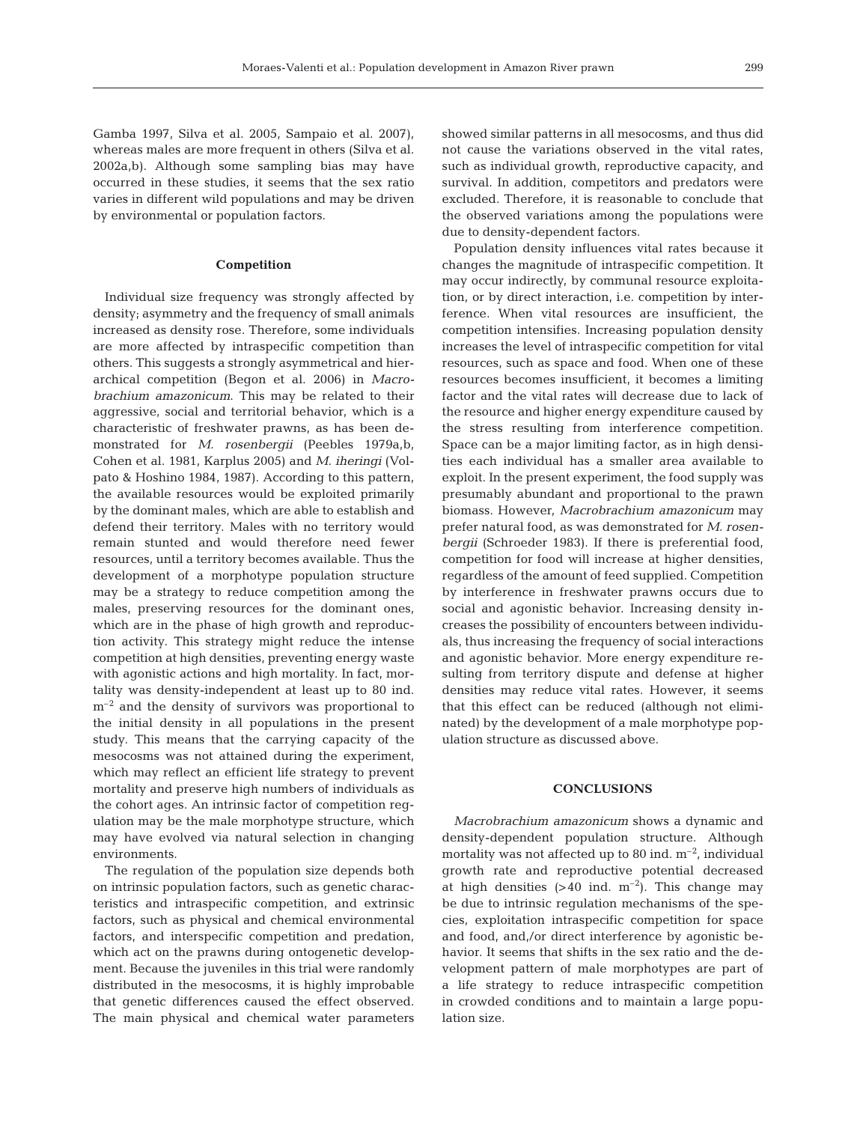Gamba 1997, Silva et al. 2005, Sampaio et al. 2007), whereas males are more frequent in others (Silva et al. 2002a,b). Although some sampling bias may have occurred in these studies, it seems that the sex ratio varies in different wild populations and may be driven by environmental or population factors.

#### **Competition**

Individual size frequency was strongly affected by density; asymmetry and the frequency of small animals increased as density rose. Therefore, some individuals are more affected by intraspecific competition than others. This suggests a strongly asymmetrical and hierarchical competition (Begon et al. 2006) in *Macrobrachium amazonicum*. This may be related to their aggressive, social and territorial behavior, which is a characteristic of freshwater prawns, as has been demonstrated for *M. rosenbergii* (Peebles 1979a,b, Cohen et al. 1981, Karplus 2005) and *M. iheringi* (Volpato & Hoshino 1984, 1987). According to this pattern, the available resources would be exploited primarily by the dominant males, which are able to establish and defend their territory. Males with no territory would remain stunted and would therefore need fewer resources, until a territory becomes available. Thus the development of a morphotype population structure may be a strategy to reduce competition among the males, preserving resources for the dominant ones, which are in the phase of high growth and reproduction activity. This strategy might reduce the intense competition at high densities, preventing energy waste with agonistic actions and high mortality. In fact, mortality was density-independent at least up to 80 ind.  $m<sup>-2</sup>$  and the density of survivors was proportional to the initial density in all populations in the present study. This means that the carrying capacity of the mesocosms was not attained during the experiment, which may reflect an efficient life strategy to prevent mortality and preserve high numbers of individuals as the cohort ages. An intrinsic factor of competition regulation may be the male morphotype structure, which may have evolved via natural selection in changing environments.

The regulation of the population size depends both on intrinsic population factors, such as genetic characteristics and intraspecific competition, and extrinsic factors, such as physical and chemical environmental factors, and interspecific competition and predation, which act on the prawns during ontogenetic development. Because the juveniles in this trial were randomly distributed in the mesocosms, it is highly improbable that genetic differences caused the effect observed. The main physical and chemical water parameters showed similar patterns in all mesocosms, and thus did not cause the variations observed in the vital rates, such as individual growth, reproductive capacity, and survival. In addition, competitors and predators were excluded. Therefore, it is reasonable to conclude that the observed variations among the populations were due to density-dependent factors.

Population density influences vital rates because it changes the magnitude of intraspecific competition. It may occur indirectly, by communal resource exploitation, or by direct interaction, i.e. competition by interference. When vital resources are insufficient, the competition intensifies. Increasing population density increases the level of intraspecific competition for vital resources, such as space and food. When one of these resources becomes insufficient, it becomes a limiting factor and the vital rates will decrease due to lack of the resource and higher energy expenditure caused by the stress resulting from interference competition. Space can be a major limiting factor, as in high densities each individual has a smaller area available to exploit. In the present experiment, the food supply was presumably abundant and proportional to the prawn biomass. However, *Macrobrachium amazonicum* may prefer natural food, as was demonstrated for *M. rosenbergii* (Schroeder 1983). If there is preferential food, competition for food will increase at higher densities, regardless of the amount of feed supplied. Competition by interference in freshwater prawns occurs due to social and agonistic behavior. Increasing density increases the possibility of encounters between individuals, thus increasing the frequency of social interactions and agonistic behavior. More energy expenditure resulting from territory dispute and defense at higher densities may reduce vital rates. However, it seems that this effect can be reduced (although not eliminated) by the development of a male morphotype population structure as discussed above.

## **CONCLUSIONS**

*Macrobrachium amazonicum* shows a dynamic and density-dependent population structure. Although mortality was not affected up to 80 ind.  $m^{-2}$ , individual growth rate and reproductive potential decreased at high densities  $(>40 \text{ ind. m}^{-2})$ . This change may be due to intrinsic regulation mechanisms of the species, exploitation intraspecific competition for space and food, and,/or direct interference by agonistic behavior. It seems that shifts in the sex ratio and the development pattern of male morphotypes are part of a life strategy to reduce intraspecific competition in crowded conditions and to maintain a large population size.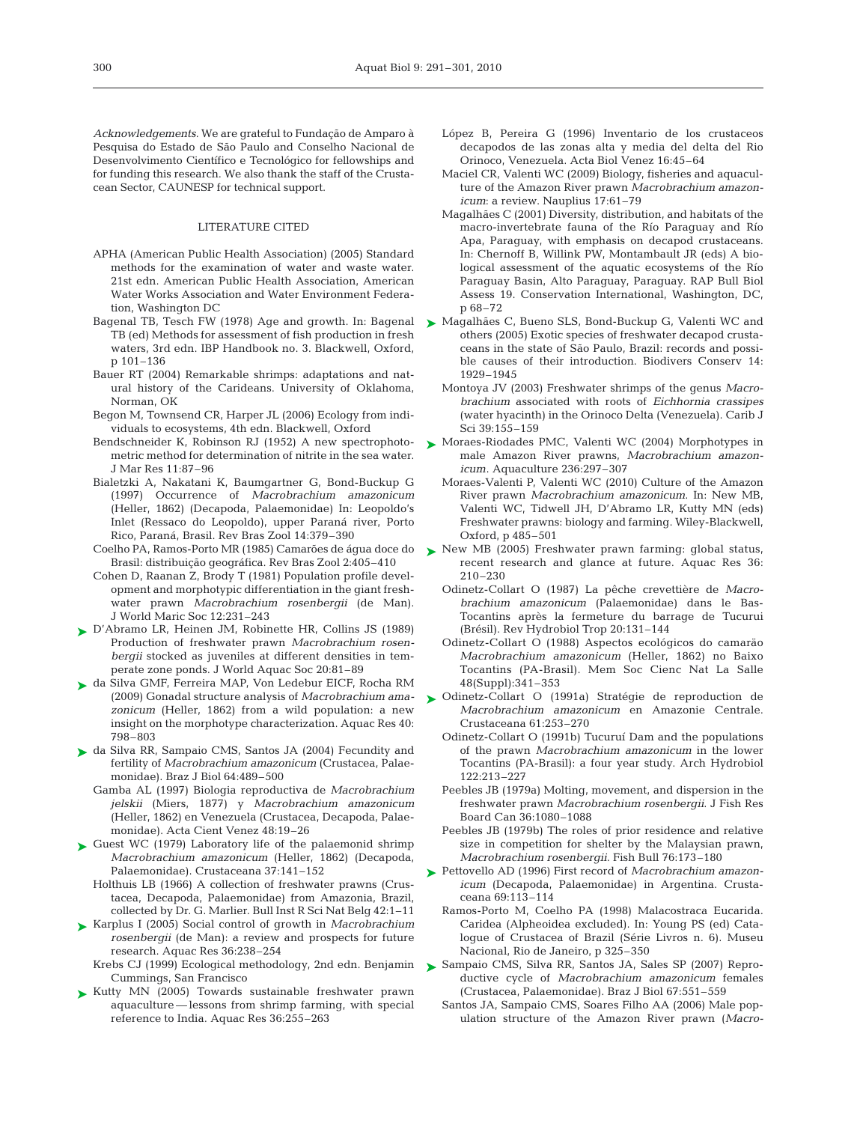*Acknowledgements.* We are grateful to Fundação de Amparo à Pesquisa do Estado de São Paulo and Conselho Nacional de Desenvolvimento Científico e Tecnológico for fellowships and for funding this research. We also thank the staff of the Crustacean Sector, CAUNESP for technical support.

#### LITERATURE CITED

- APHA (American Public Health Association) (2005) Standard methods for the examination of water and waste water. 21st edn. American Public Health Association, American Water Works Association and Water Environment Federation, Washington DC
- Bagenal TB, Tesch FW (1978) Age and growth. In: Bagenal TB (ed) Methods for assessment of fish production in fresh waters, 3rd edn. IBP Handbook no. 3. Blackwell, Oxford, p 101–136
- Bauer RT (2004) Remarkable shrimps: adaptations and natural history of the Carideans. University of Oklahoma, Norman, OK
- Begon M, Townsend CR, Harper JL (2006) Ecology from individuals to ecosystems, 4th edn. Blackwell, Oxford
- metric method for determination of nitrite in the sea water. J Mar Res 11:87–96
- Bialetzki A, Nakatani K, Baumgartner G, Bond-Buckup G (1997) Occurrence of *Macrobrachium amazonicum* (Heller, 1862) (Decapoda, Palaemonidae) In: Leopoldo's Inlet (Ressaco do Leopoldo), upper Paraná river, Porto Rico, Paraná, Brasil. Rev Bras Zool 14:379–390
- Coelho PA, Ramos-Porto MR (1985) Camarões de água doce do Brasil: distribuição geográfica. Rev Bras Zool 2:405–410
- Cohen D, Raanan Z, Brody T (1981) Population profile development and morphotypic differentiation in the giant freshwater prawn *Macrobrachium rosenbergii* (de Man). J World Maric Soc 12:231–243
- ► D'Abramo LR, Heinen JM, Robinette HR, Collins JS (1989) Production of freshwater prawn *Macrobrachium rosenbergii* stocked as juveniles at different densities in temperate zone ponds. J World Aquac Soc 20:81–89
- da Silva GMF, Ferreira MAP, Von Ledebur EICF, Rocha RM ➤ (2009) Gonadal structure analysis of *Macrobrachium amazonicum* (Heller, 1862) from a wild population: a new insight on the morphotype characterization. Aquac Res 40: 798–803
- ► da Silva RR, Sampaio CMS, Santos JA (2004) Fecundity and fertility of *Macrobrachium amazonicum* (Crustacea, Palaemonidae). Braz J Biol 64:489–500
	- Gamba AL (1997) Biologia reproductiva de *Macrobrachium jelskii* (Miers, 1877) y *Macrobrachium amazonicum* (Heller, 1862) en Venezuela (Crustacea, Decapoda, Palaemonidae). Acta Cient Venez 48:19–26
- ► Guest WC (1979) Laboratory life of the palaemonid shrimp *Macrobrachium amazonicum* (Heller, 1862) (Decapoda, Palaemonidae). Crustaceana 37:141–152
	- Holthuis LB (1966) A collection of freshwater prawns (Crustacea, Decapoda, Palaemonidae) from Amazonia, Brazil, collected by Dr. G. Marlier. Bull Inst R Sci Nat Belg 42:1–11
- ► Karplus I (2005) Social control of growth in *Macrobrachium rosenbergii* (de Man): a review and prospects for future research. Aquac Res 36:238–254
	- Cummings, San Francisco
- ▶ Kutty MN (2005) Towards sustainable freshwater prawn aquaculture — lessons from shrimp farming, with special reference to India. Aquac Res 36:255–263
- López B, Pereira G (1996) Inventario de los crustaceos decapodos de las zonas alta y media del delta del Rio Orinoco, Venezuela. Acta Biol Venez 16:45–64
- Maciel CR, Valenti WC (2009) Biology, fisheries and aquaculture of the Amazon River prawn *Macrobrachium amazonicum*: a review. Nauplius 17:61–79
- Magalhães C (2001) Diversity, distribution, and habitats of the macro-invertebrate fauna of the Río Paraguay and Río Apa, Paraguay, with emphasis on decapod crustaceans. In: Chernoff B, Willink PW, Montambault JR (eds) A biological assessment of the aquatic ecosystems of the Río Paraguay Basin, Alto Paraguay, Paraguay. RAP Bull Biol Assess 19. Conservation International, Washington, DC, p 68–72
- ► Magalhães C, Bueno SLS, Bond-Buckup G, Valenti WC and others (2005) Exotic species of freshwater decapod crustaceans in the state of São Paulo, Brazil: records and possible causes of their introduction. Biodivers Conserv 14: 1929–1945
	- Montoya JV (2003) Freshwater shrimps of the genus *Macrobrachium* associated with roots of *Eichhornia crassipes* (water hyacinth) in the Orinoco Delta (Venezuela). Carib J Sci 39:155–159
- Bendschneider K, Robinson RJ (1952) A new spectrophoto-  $\triangleright$  Moraes-Riodades PMC, Valenti WC (2004) Morphotypes in male Amazon River prawns, *Macrobrachium amazonicum*. Aquaculture 236:297–307
	- Moraes-Valenti P, Valenti WC (2010) Culture of the Amazon River prawn *Macrobrachium amazonicum*. In: New MB, Valenti WC, Tidwell JH, D'Abramo LR, Kutty MN (eds) Freshwater prawns: biology and farming. Wiley-Blackwell, Oxford, p 485–501
	- ▶ New MB (2005) Freshwater prawn farming: global status, recent research and glance at future. Aquac Res 36: 210–230
		- Odinetz-Collart O (1987) La pêche crevettière de *Macrobrachium amazonicum* (Palaemonidae) dans le Bas-Tocantins après la fermeture du barrage de Tucurui (Brésil). Rev Hydrobiol Trop 20:131–144
		- Odinetz-Collart O (1988) Aspectos ecológicos do camaräo *Macrobrachium amazonicum* (Heller, 1862) no Baixo Tocantins (PA-Brasil). Mem Soc Cienc Nat La Salle 48(Suppl):341–353
	- ▶ Odinetz-Collart O (1991a) Stratégie de reproduction de *Macrobrachium amazonicum* en Amazonie Centrale. Crustaceana 61:253–270
		- Odinetz-Collart O (1991b) Tucuruí Dam and the populations of the prawn *Macrobrachium amazonicum* in the lower Tocantins (PA-Brasil): a four year study. Arch Hydrobiol 122:213–227
		- Peebles JB (1979a) Molting, movement, and dispersion in the freshwater prawn *Macrobrachium rosenbergii*. J Fish Res Board Can 36:1080–1088
		- Peebles JB (1979b) The roles of prior residence and relative size in competition for shelter by the Malaysian prawn, *Macrobrachium rosenbergii*. Fish Bull 76:173–180
	- Pettovello AD (1996) First record of *Macrobrachium amazon-*➤ *icum* (Decapoda, Palaemonidae) in Argentina. Crustaceana 69:113–114
		- Ramos-Porto M, Coelho PA (1998) Malacostraca Eucarida. Caridea (Alpheoidea excluded). In: Young PS (ed) Catalogue of Crustacea of Brazil (Série Livros n. 6). Museu Nacional, Rio de Janeiro, p 325–350
- Krebs CJ (1999) Ecological methodology, 2nd edn. Benjamin  $\quad$ Sampaio CMS, Silva RR, Santos JA, Sales SP (2007) Reproductive cycle of *Macrobrachium amazonicum* females (Crustacea, Palaemonidae). Braz J Biol 67:551–559
	- Santos JA, Sampaio CMS, Soares Filho AA (2006) Male population structure of the Amazon River prawn (*Macro-*